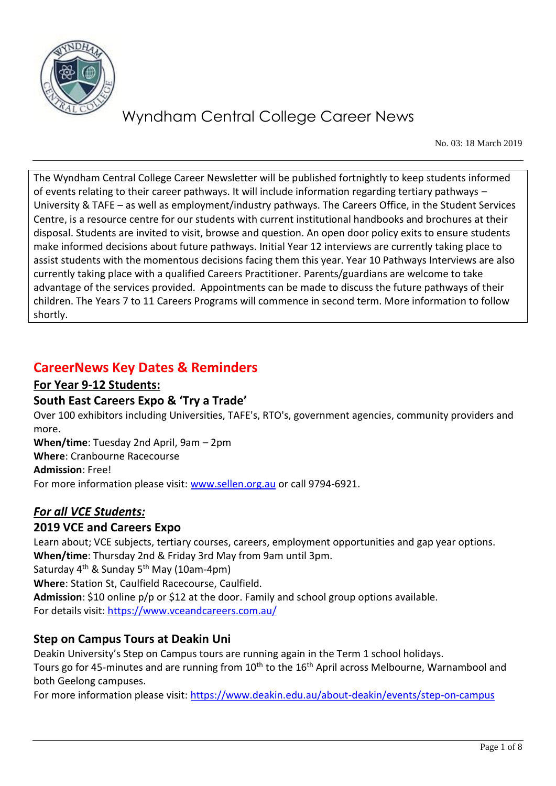

No. 03: 18 March 2019

The Wyndham Central College Career Newsletter will be published fortnightly to keep students informed of events relating to their career pathways. It will include information regarding tertiary pathways – University & TAFE – as well as employment/industry pathways. The Careers Office, in the Student Services Centre, is a resource centre for our students with current institutional handbooks and brochures at their disposal. Students are invited to visit, browse and question. An open door policy exits to ensure students make informed decisions about future pathways. Initial Year 12 interviews are currently taking place to assist students with the momentous decisions facing them this year. Year 10 Pathways Interviews are also currently taking place with a qualified Careers Practitioner. Parents/guardians are welcome to take advantage of the services provided. Appointments can be made to discuss the future pathways of their children. The Years 7 to 11 Careers Programs will commence in second term. More information to follow shortly.

## **CareerNews Key Dates & Reminders**

#### **For Year 9-12 Students:**

#### **South East Careers Expo & 'Try a Trade'**

Over 100 exhibitors including Universities, TAFE's, RTO's, government agencies, community providers and more.

**When/time**: Tuesday 2nd April, 9am – 2pm **Where**: Cranbourne Racecourse **Admission**: Free! For more information please visit: [www.sellen.org.au](http://www.sellen.org.au/) or call 9794-6921.

#### *For all VCE Students:*

#### **2019 VCE and Careers Expo**

Learn about; VCE subjects, tertiary courses, careers, employment opportunities and gap year options. **When/time**: Thursday 2nd & Friday 3rd May from 9am until 3pm.

Saturday  $4<sup>th</sup>$  & Sunday 5<sup>th</sup> May (10am-4pm)

**Where**: Station St, Caulfield Racecourse, Caulfield.

**Admission**: \$10 online p/p or \$12 at the door. Family and school group options available. For details visit:<https://www.vceandcareers.com.au/>

#### **Step on Campus Tours at Deakin Uni**

Deakin University's Step on Campus tours are running again in the Term 1 school holidays. Tours go for 45-minutes and are running from  $10<sup>th</sup>$  to the  $16<sup>th</sup>$  April across Melbourne, Warnambool and both Geelong campuses.

For more information please visit: <https://www.deakin.edu.au/about-deakin/events/step-on-campus>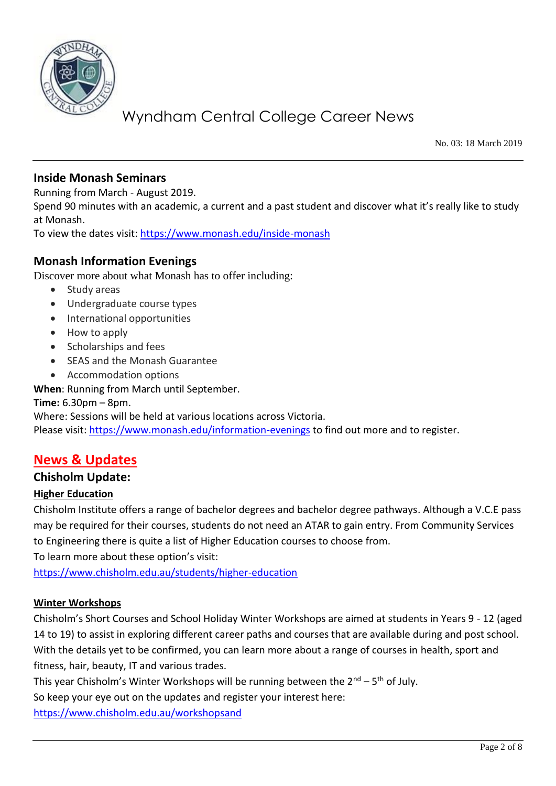

No. 03: 18 March 2019

#### **Inside Monash Seminars**

Running from March - August 2019.

Spend 90 minutes with an academic, a current and a past student and discover what it's really like to study at Monash.

To view the dates visit:<https://www.monash.edu/inside-monash>

#### **Monash Information Evenings**

Discover more about what Monash has to offer including:

- Study areas
- Undergraduate course types
- International opportunities
- How to apply
- Scholarships and fees
- SEAS and the Monash Guarantee
- Accommodation options

**When**: Running from March until September.

#### **Time:** 6.30pm – 8pm.

Where: Sessions will be held at various locations across Victoria.

Please visit:<https://www.monash.edu/information-evenings> to find out more and to register.

#### **News & Updates**

#### **Chisholm Update:**

#### **Higher Education**

Chisholm Institute offers a range of bachelor degrees and bachelor degree pathways. Although a V.C.E pass may be required for their courses, students do not need an ATAR to gain entry. From Community Services to Engineering there is quite a list of Higher Education courses to choose from.

To learn more about these option's visit:

<https://www.chisholm.edu.au/students/higher-education>

#### **Winter Workshops**

Chisholm's Short Courses and School Holiday Winter Workshops are aimed at students in Years 9 - 12 (aged 14 to 19) to assist in exploring different career paths and courses that are available during and post school. With the details yet to be confirmed, you can learn more about a range of courses in health, sport and fitness, hair, beauty, IT and various trades.

This year Chisholm's Winter Workshops will be running between the 2<sup>nd</sup> – 5<sup>th</sup> of July.

So keep your eye out on the updates and register your interest here:

<https://www.chisholm.edu.au/workshopsand>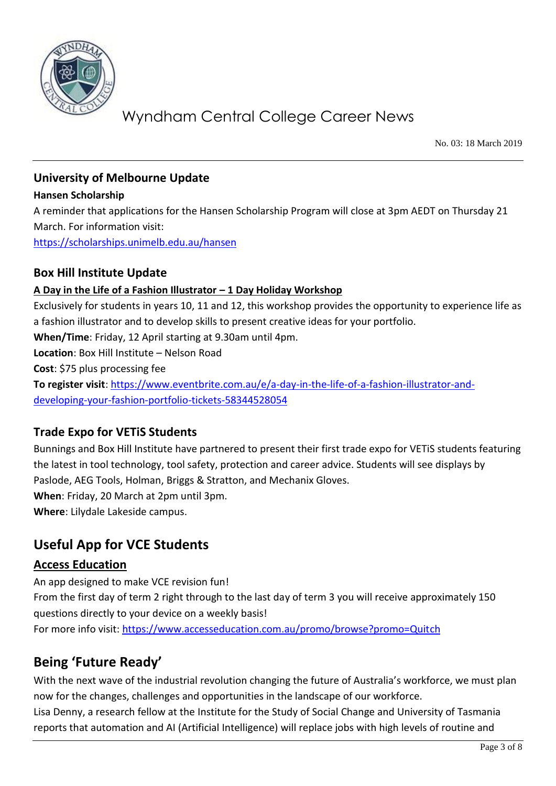

No. 03: 18 March 2019

### **University of Melbourne Update**

**Hansen Scholarship** A reminder that applications for the Hansen Scholarship Program will close at 3pm AEDT on Thursday 21 March. For information visit: <https://scholarships.unimelb.edu.au/hansen>

#### **Box Hill Institute Update**

#### **A Day in the Life of a Fashion Illustrator – 1 Day Holiday Workshop**

Exclusively for students in years 10, 11 and 12, this workshop provides the opportunity to experience life as a fashion illustrator and to develop skills to present creative ideas for your portfolio.

**When/Time**: Friday, 12 April starting at 9.30am until 4pm.

**Location**: Box Hill Institute – Nelson Road

**Cost**: \$75 plus processing fee

**To register visit**: [https://www.eventbrite.com.au/e/a-day-in-the-life-of-a-fashion-illustrator-and](https://www.eventbrite.com.au/e/a-day-in-the-life-of-a-fashion-illustrator-and-developing-your-fashion-portfolio-tickets-58344528054)[developing-your-fashion-portfolio-tickets-58344528054](https://www.eventbrite.com.au/e/a-day-in-the-life-of-a-fashion-illustrator-and-developing-your-fashion-portfolio-tickets-58344528054)

#### **Trade Expo for VETiS Students**

Bunnings and Box Hill Institute have partnered to present their first trade expo for VETiS students featuring the latest in tool technology, tool safety, protection and career advice. Students will see displays by Paslode, AEG Tools, Holman, Briggs & Stratton, and Mechanix Gloves. **When**: Friday, 20 March at 2pm until 3pm. **Where**: Lilydale Lakeside campus.

**Useful App for VCE Students**

#### **Access Education**

An app designed to make VCE revision fun!

From the first day of term 2 right through to the last day of term 3 you will receive approximately 150 questions directly to your device on a weekly basis!

For more info visit:<https://www.accesseducation.com.au/promo/browse?promo=Quitch>

## **Being 'Future Ready'**

With the next wave of the industrial revolution changing the future of Australia's workforce, we must plan now for the changes, challenges and opportunities in the landscape of our workforce. Lisa Denny, a research fellow at the Institute for the Study of Social Change and University of Tasmania reports that automation and AI (Artificial Intelligence) will replace jobs with high levels of routine and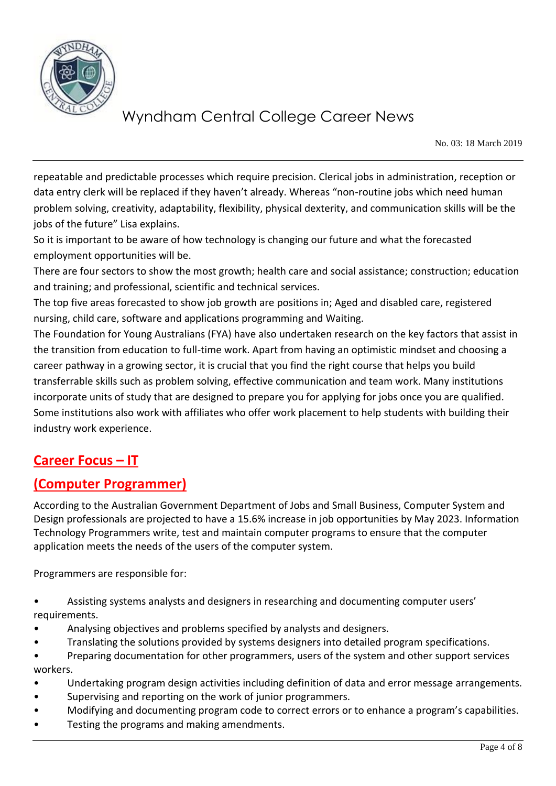

No. 03: 18 March 2019

repeatable and predictable processes which require precision. Clerical jobs in administration, reception or data entry clerk will be replaced if they haven't already. Whereas "non-routine jobs which need human problem solving, creativity, adaptability, flexibility, physical dexterity, and communication skills will be the jobs of the future" Lisa explains.

So it is important to be aware of how technology is changing our future and what the forecasted employment opportunities will be.

There are four sectors to show the most growth; health care and social assistance; construction; education and training; and professional, scientific and technical services.

The top five areas forecasted to show job growth are positions in; Aged and disabled care, registered nursing, child care, software and applications programming and Waiting.

The Foundation for Young Australians (FYA) have also undertaken research on the key factors that assist in the transition from education to full-time work. Apart from having an optimistic mindset and choosing a career pathway in a growing sector, it is crucial that you find the right course that helps you build transferrable skills such as problem solving, effective communication and team work. Many institutions incorporate units of study that are designed to prepare you for applying for jobs once you are qualified. Some institutions also work with affiliates who offer work placement to help students with building their industry work experience.

## **Career Focus – IT**

## **(Computer Programmer)**

According to the Australian Government Department of Jobs and Small Business, Computer System and Design professionals are projected to have a 15.6% increase in job opportunities by May 2023. Information Technology Programmers write, test and maintain computer programs to ensure that the computer application meets the needs of the users of the computer system.

Programmers are responsible for:

- Assisting systems analysts and designers in researching and documenting computer users' requirements.
- Analysing objectives and problems specified by analysts and designers.
- Translating the solutions provided by systems designers into detailed program specifications.
- Preparing documentation for other programmers, users of the system and other support services workers.
- Undertaking program design activities including definition of data and error message arrangements.
- Supervising and reporting on the work of junior programmers.
- Modifying and documenting program code to correct errors or to enhance a program's capabilities.
- Testing the programs and making amendments.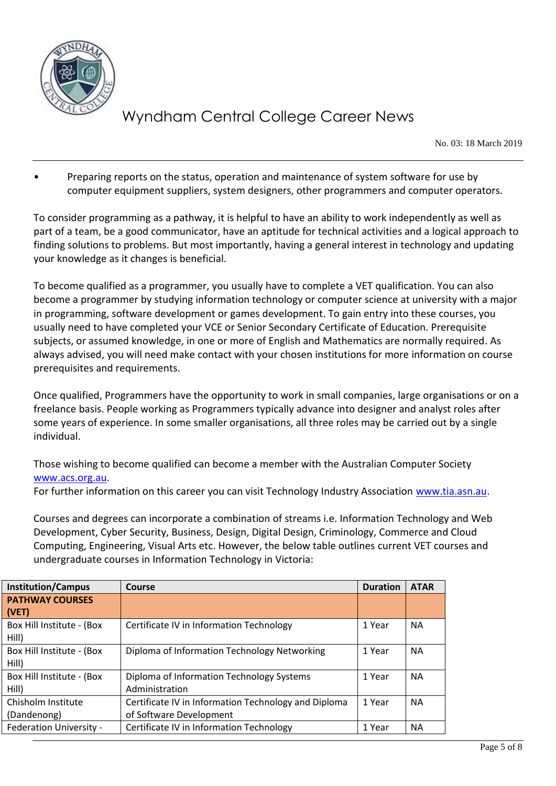

No. 03: 18 March 2019

• Preparing reports on the status, operation and maintenance of system software for use by computer equipment suppliers, system designers, other programmers and computer operators.

To consider programming as a pathway, it is helpful to have an ability to work independently as well as part of a team, be a good communicator, have an aptitude for technical activities and a logical approach to finding solutions to problems. But most importantly, having a general interest in technology and updating your knowledge as it changes is beneficial.

To become qualified as a programmer, you usually have to complete a VET qualification. You can also become a programmer by studying information technology or computer science at university with a major in programming, software development or games development. To gain entry into these courses, you usually need to have completed your VCE or Senior Secondary Certificate of Education. Prerequisite subjects, or assumed knowledge, in one or more of English and Mathematics are normally required. As always advised, you will need make contact with your chosen institutions for more information on course prerequisites and requirements.

Once qualified, Programmers have the opportunity to work in small companies, large organisations or on a freelance basis. People working as Programmers typically advance into designer and analyst roles after some years of experience. In some smaller organisations, all three roles may be carried out by a single individual.

Those wishing to become qualified can become a member with the Australian Computer Society [www.acs.org.au.](http://www.acs.org.au/)

For further information on this career you can visit Technology Industry Association [www.tia.asn.au.](http://www.tia.asn.au/)

Courses and degrees can incorporate a combination of streams i.e. Information Technology and Web Development, Cyber Security, Business, Design, Digital Design, Criminology, Commerce and Cloud Computing, Engineering, Visual Arts etc. However, the below table outlines current VET courses and undergraduate courses in Information Technology in Victoria:

| <b>Institution/Campus</b>                   | <b>Course</b>                                                                   | <b>Duration</b> | <b>ATAR</b> |
|---------------------------------------------|---------------------------------------------------------------------------------|-----------------|-------------|
| <b>PATHWAY COURSES</b>                      |                                                                                 |                 |             |
| (VET)<br>Box Hill Institute - (Box<br>Hill) | Certificate IV in Information Technology                                        | 1 Year          | NA.         |
| Box Hill Institute - (Box<br>Hill)          | Diploma of Information Technology Networking                                    | 1 Year          | <b>NA</b>   |
| Box Hill Institute - (Box<br>Hill)          | Diploma of Information Technology Systems<br>Administration                     | 1 Year          | <b>NA</b>   |
| Chisholm Institute<br>(Dandenong)           | Certificate IV in Information Technology and Diploma<br>of Software Development | 1 Year          | <b>NA</b>   |
| Federation University -                     | Certificate IV in Information Technology                                        | 1 Year          | <b>NA</b>   |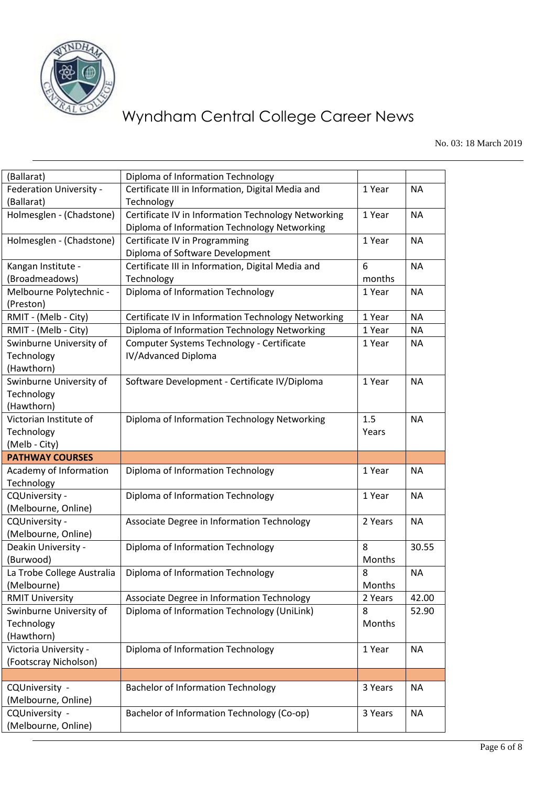

#### No. 03: 18 March 2019

| (Ballarat)                            | Diploma of Information Technology                   |         |           |
|---------------------------------------|-----------------------------------------------------|---------|-----------|
| Federation University -               | Certificate III in Information, Digital Media and   | 1 Year  | <b>NA</b> |
| (Ballarat)                            | Technology                                          |         |           |
| Holmesglen - (Chadstone)              | Certificate IV in Information Technology Networking | 1 Year  | <b>NA</b> |
|                                       | Diploma of Information Technology Networking        |         |           |
| Holmesglen - (Chadstone)              | Certificate IV in Programming                       | 1 Year  | <b>NA</b> |
|                                       | Diploma of Software Development                     |         |           |
| Kangan Institute -                    | Certificate III in Information, Digital Media and   | 6       | <b>NA</b> |
| (Broadmeadows)                        | Technology                                          | months  |           |
| Melbourne Polytechnic -               | Diploma of Information Technology                   | 1 Year  | <b>NA</b> |
| (Preston)                             |                                                     |         |           |
| RMIT - (Melb - City)                  | Certificate IV in Information Technology Networking | 1 Year  | <b>NA</b> |
| RMIT - (Melb - City)                  | Diploma of Information Technology Networking        | 1 Year  | <b>NA</b> |
| Swinburne University of               | Computer Systems Technology - Certificate           | 1 Year  | <b>NA</b> |
| Technology                            | IV/Advanced Diploma                                 |         |           |
| (Hawthorn)                            |                                                     |         |           |
| Swinburne University of               | Software Development - Certificate IV/Diploma       | 1 Year  | <b>NA</b> |
| Technology                            |                                                     |         |           |
| (Hawthorn)                            |                                                     |         |           |
| Victorian Institute of                | Diploma of Information Technology Networking        | 1.5     | <b>NA</b> |
| Technology                            |                                                     | Years   |           |
| (Melb - City)                         |                                                     |         |           |
|                                       |                                                     |         |           |
| <b>PATHWAY COURSES</b>                |                                                     |         |           |
| Academy of Information                | Diploma of Information Technology                   | 1 Year  | <b>NA</b> |
| Technology                            |                                                     |         |           |
| CQUniversity -                        | Diploma of Information Technology                   | 1 Year  | <b>NA</b> |
| (Melbourne, Online)                   |                                                     |         |           |
| CQUniversity -                        | Associate Degree in Information Technology          | 2 Years | <b>NA</b> |
| (Melbourne, Online)                   |                                                     |         |           |
| Deakin University -                   | Diploma of Information Technology                   | 8       | 30.55     |
| (Burwood)                             |                                                     | Months  |           |
| La Trobe College Australia            | Diploma of Information Technology                   | 8       | <b>NA</b> |
| (Melbourne)                           |                                                     | Months  |           |
| <b>RMIT University</b>                | Associate Degree in Information Technology          | 2 Years | 42.00     |
| Swinburne University of               | Diploma of Information Technology (UniLink)         | 8       | 52.90     |
| Technology                            |                                                     | Months  |           |
| (Hawthorn)                            |                                                     |         |           |
| Victoria University -                 | Diploma of Information Technology                   | 1 Year  | <b>NA</b> |
| (Footscray Nicholson)                 |                                                     |         |           |
|                                       |                                                     |         |           |
| CQUniversity -                        | <b>Bachelor of Information Technology</b>           | 3 Years | <b>NA</b> |
| (Melbourne, Online)                   |                                                     |         |           |
| CQUniversity -<br>(Melbourne, Online) | Bachelor of Information Technology (Co-op)          | 3 Years | <b>NA</b> |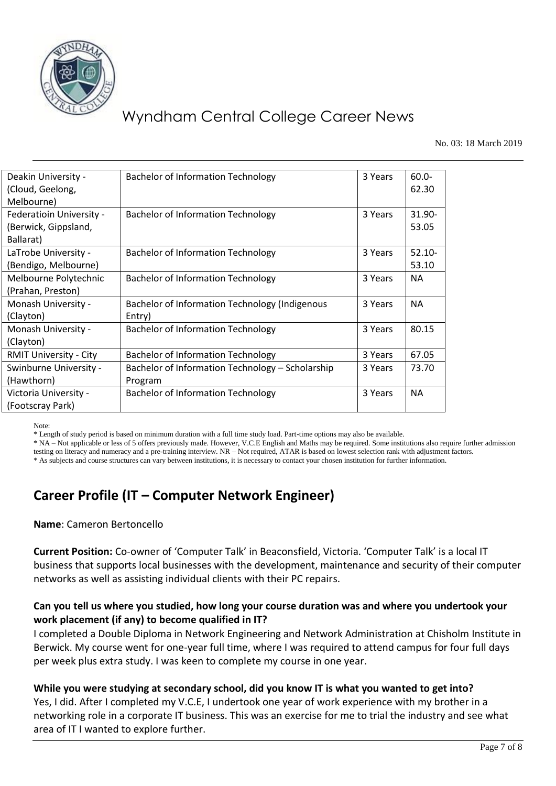

#### No. 03: 18 March 2019

| Deakin University -           | <b>Bachelor of Information Technology</b>        | 3 Years | $60.0 -$  |
|-------------------------------|--------------------------------------------------|---------|-----------|
| (Cloud, Geelong,              |                                                  |         | 62.30     |
| Melbourne)                    |                                                  |         |           |
| Federatioin University -      | <b>Bachelor of Information Technology</b>        | 3 Years | 31.90-    |
| (Berwick, Gippsland,          |                                                  |         | 53.05     |
| Ballarat)                     |                                                  |         |           |
| LaTrobe University -          | <b>Bachelor of Information Technology</b>        | 3 Years | $52.10 -$ |
| (Bendigo, Melbourne)          |                                                  |         | 53.10     |
| Melbourne Polytechnic         | <b>Bachelor of Information Technology</b>        | 3 Years | NA.       |
| (Prahan, Preston)             |                                                  |         |           |
| Monash University -           | Bachelor of Information Technology (Indigenous   | 3 Years | <b>NA</b> |
| (Clayton)                     | Entry)                                           |         |           |
| Monash University -           | <b>Bachelor of Information Technology</b>        | 3 Years | 80.15     |
| (Clayton)                     |                                                  |         |           |
| <b>RMIT University - City</b> | <b>Bachelor of Information Technology</b>        | 3 Years | 67.05     |
| Swinburne University -        | Bachelor of Information Technology - Scholarship | 3 Years | 73.70     |
| (Hawthorn)                    | Program                                          |         |           |
| Victoria University -         | <b>Bachelor of Information Technology</b>        | 3 Years | <b>NA</b> |
| (Footscray Park)              |                                                  |         |           |

Note:

\* Length of study period is based on minimum duration with a full time study load. Part-time options may also be available.

\* NA – Not applicable or less of 5 offers previously made. However, V.C.E English and Maths may be required. Some institutions also require further admission testing on literacy and numeracy and a pre-training interview. NR – Not required, ATAR is based on lowest selection rank with adjustment factors.

\* As subjects and course structures can vary between institutions, it is necessary to contact your chosen institution for further information.

## **Career Profile (IT – Computer Network Engineer)**

#### **Name**: Cameron Bertoncello

**Current Position:** Co-owner of 'Computer Talk' in Beaconsfield, Victoria. 'Computer Talk' is a local IT business that supports local businesses with the development, maintenance and security of their computer networks as well as assisting individual clients with their PC repairs.

#### **Can you tell us where you studied, how long your course duration was and where you undertook your work placement (if any) to become qualified in IT?**

I completed a Double Diploma in Network Engineering and Network Administration at Chisholm Institute in Berwick. My course went for one-year full time, where I was required to attend campus for four full days per week plus extra study. I was keen to complete my course in one year.

#### **While you were studying at secondary school, did you know IT is what you wanted to get into?**

Yes, I did. After I completed my V.C.E, I undertook one year of work experience with my brother in a networking role in a corporate IT business. This was an exercise for me to trial the industry and see what area of IT I wanted to explore further.